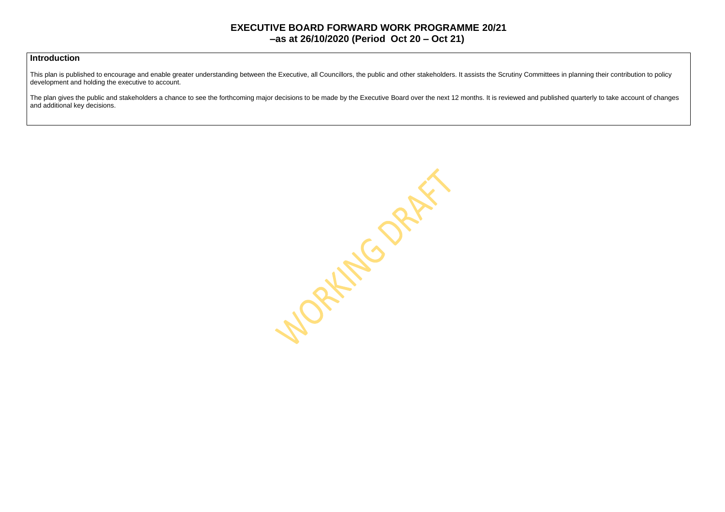#### **Introduction**

This plan is published to encourage and enable greater understanding between the Executive, all Councillors, the public and other stakeholders. It assists the Scrutiny Committees in planning their contribution to policy development and holding the executive to account.

The plan gives the public and stakeholders a chance to see the forthcoming major decisions to be made by the Executive Board over the next 12 months. It is reviewed and published quarterly to take account of changes and additional key decisions.

MORKING ORAN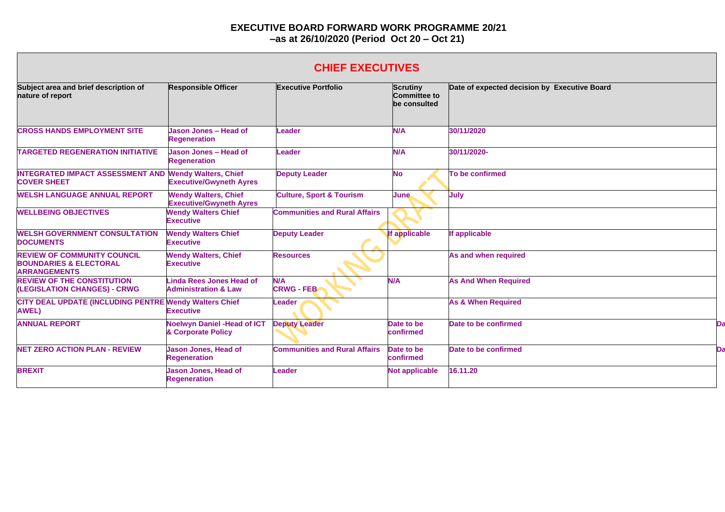## **CHIEF EXECUTIVES**

| Subject area and brief description of<br>nature of report                                      | <b>Responsible Officer</b>                                         | <b>Executive Portfolio</b>           | <b>Scrutiny</b><br>Committee to<br>be consulted | Date of expected decision by Executive Board |
|------------------------------------------------------------------------------------------------|--------------------------------------------------------------------|--------------------------------------|-------------------------------------------------|----------------------------------------------|
| <b>CROSS HANDS EMPLOYMENT SITE</b>                                                             | Jason Jones - Head of<br><b>Regeneration</b>                       | Leader                               | <b>N/A</b>                                      | 30/11/2020                                   |
| <b>TARGETED REGENERATION INITIATIVE</b>                                                        | Jason Jones - Head of<br><b>Regeneration</b>                       | Leader                               | <b>N/A</b>                                      | 30/11/2020-                                  |
| <b>INTEGRATED IMPACT ASSESSMENT AND Wendy Walters, Chief</b><br><b>COVER SHEET</b>             | <b>Executive/Gwyneth Ayres</b>                                     | <b>Deputy Leader</b>                 | <b>No</b>                                       | To be confirmed                              |
| <b>WELSH LANGUAGE ANNUAL REPORT</b>                                                            | <b>Wendy Walters, Chief</b><br><b>Executive/Gwyneth Ayres</b>      | <b>Culture, Sport &amp; Tourism</b>  | <b>June</b>                                     | July                                         |
| <b>WELLBEING OBJECTIVES</b>                                                                    | <b>Wendy Walters Chief</b><br><b>Executive</b>                     | <b>Communities and Rural Affairs</b> |                                                 |                                              |
| <b>WELSH GOVERNMENT CONSULTATION</b><br><b>DOCUMENTS</b>                                       | <b>Wendy Walters Chief</b><br><b>Executive</b>                     | <b>Deputy Leader</b>                 | If applicable                                   | If applicable                                |
| <b>REVIEW OF COMMUNITY COUNCIL</b><br><b>BOUNDARIES &amp; ELECTORAL</b><br><b>ARRANGEMENTS</b> | <b>Wendy Walters, Chief</b><br><b>Executive</b>                    | <b>Resources</b>                     |                                                 | As and when required                         |
| <b>REVIEW OF THE CONSTITUTION</b><br>(LEGISLATION CHANGES) - CRWG                              | <b>Linda Rees Jones Head of</b><br><b>Administration &amp; Law</b> | <b>N/A</b><br><b>CRWG - FEB</b>      | <b>N/A</b>                                      | <b>As And When Required</b>                  |
| CITY DEAL UPDATE (INCLUDING PENTRE Wendy Walters Chief<br><b>AWEL)</b>                         | <b>Executive</b>                                                   | <b>Leader</b>                        |                                                 | <b>As &amp; When Required</b>                |
| <b>ANNUAL REPORT</b>                                                                           | <b>Noelwyn Daniel - Head of ICT</b><br>& Corporate Policy          | <b>Deputy Leader</b>                 | Date to be<br>confirmed                         | Date to be confirmed                         |
| <b>NET ZERO ACTION PLAN - REVIEW</b>                                                           | <b>Jason Jones, Head of</b><br><b>Regeneration</b>                 | <b>Communities and Rural Affairs</b> | Date to be<br>confirmed                         | Date to be confirmed                         |
| <b>BREXIT</b>                                                                                  | <b>Jason Jones, Head of</b><br><b>Regeneration</b>                 | <b>Leader</b>                        | <b>Not applicable</b>                           | 16.11.20                                     |

| Date of expected decision by Executive Board |    |
|----------------------------------------------|----|
| 30/11/2020                                   |    |
| 30/11/2020-                                  |    |
| To be confirmed                              |    |
| July                                         |    |
|                                              |    |
| If applicable                                |    |
| As and when required                         |    |
| <b>As And When Required</b>                  |    |
| <b>As &amp; When Required</b>                |    |
| Date to be confirmed                         | Da |
| <b>Date to be confirmed</b>                  | Da |
| 16.11.20                                     |    |
|                                              |    |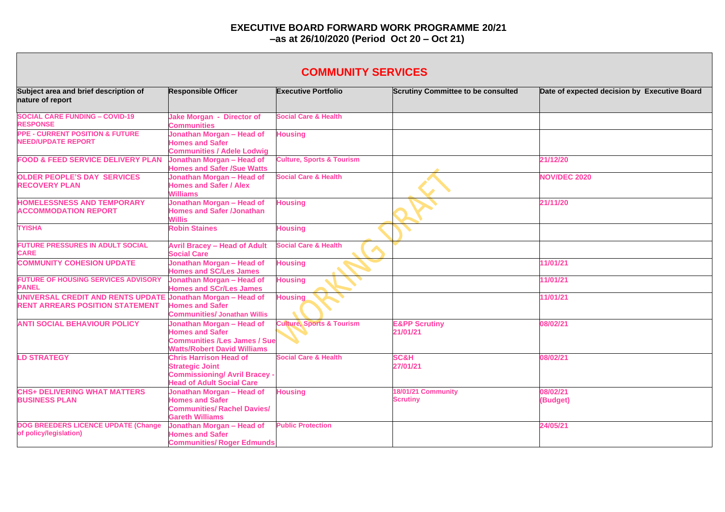| <b>COMMUNITY SERVICES</b>                                                   |                                                                                                                                     |                                      |                                           |                                              |  |  |
|-----------------------------------------------------------------------------|-------------------------------------------------------------------------------------------------------------------------------------|--------------------------------------|-------------------------------------------|----------------------------------------------|--|--|
| Subject area and brief description of<br>nature of report                   | <b>Responsible Officer</b>                                                                                                          | <b>Executive Portfolio</b>           | <b>Scrutiny Committee to be consulted</b> | Date of expected decision by Executive Board |  |  |
| <b>SOCIAL CARE FUNDING - COVID-19</b><br><b>RESPONSE</b>                    | Jake Morgan - Director of<br><b>Communities</b>                                                                                     | <b>Social Care &amp; Health</b>      |                                           |                                              |  |  |
| <b>PPE - CURRENT POSITION &amp; FUTURE</b><br><b>NEED/UPDATE REPORT</b>     | Jonathan Morgan - Head of<br><b>Homes and Safer</b><br><b>Communities / Adele Lodwig</b>                                            | <b>Housing</b>                       |                                           |                                              |  |  |
| <b>FOOD &amp; FEED SERVICE DELIVERY PLAN</b>                                | Jonathan Morgan - Head of<br><b>Homes and Safer /Sue Watts</b>                                                                      | <b>Culture, Sports &amp; Tourism</b> |                                           | 21/12/20                                     |  |  |
| <b>OLDER PEOPLE'S DAY SERVICES</b><br><b>RECOVERY PLAN</b>                  | Jonathan Morgan - Head of<br><b>Homes and Safer / Alex</b><br><b>Williams</b>                                                       | <b>Social Care &amp; Health</b>      |                                           | <b>NOV/DEC 2020</b>                          |  |  |
| <b>HOMELESSNESS AND TEMPORARY</b><br><b>ACCOMMODATION REPORT</b>            | Jonathan Morgan - Head of<br><b>Homes and Safer /Jonathan</b><br>Willis                                                             | <b>Housing</b>                       |                                           | 21/11/20                                     |  |  |
| <b>TYISHA</b>                                                               | <b>Robin Staines</b>                                                                                                                | <b>Housing</b>                       |                                           |                                              |  |  |
| <b>FUTURE PRESSURES IN ADULT SOCIAL</b><br><b>CARE</b>                      | <b>Avril Bracey - Head of Adult</b><br><b>Social Care</b>                                                                           | <b>Social Care &amp; Health</b>      |                                           |                                              |  |  |
| <b>COMMUNITY COHESION UPDATE</b>                                            | Jonathan Morgan - Head of<br><b>Homes and SC/Les James</b>                                                                          | <b>Housing</b>                       |                                           | 11/01/21                                     |  |  |
| <b>FUTURE OF HOUSING SERVICES ADVISORY</b><br><b>PANEL</b>                  | Jonathan Morgan - Head of<br><b>Homes and SCr/Les James</b>                                                                         | <b>Housing</b>                       |                                           | 11/01/21                                     |  |  |
| UNIVERSAL CREDIT AND RENTS UPDATE<br><b>RENT ARREARS POSITION STATEMENT</b> | Jonathan Morgan - Head of<br><b>Homes and Safer</b><br><b>Communities/ Jonathan Willis</b>                                          | <b>Housing</b>                       |                                           | 11/01/21                                     |  |  |
| <b>ANTI SOCIAL BEHAVIOUR POLICY</b>                                         | Jonathan Morgan - Head of<br><b>Homes and Safer</b><br><b>Communities /Les James / Sue</b><br><b>Watts/Robert David Williams</b>    | <b>Culture, Sports &amp; Tourism</b> | <b>E&amp;PP Scrutiny</b><br>21/01/21      | 08/02/21                                     |  |  |
| <b>LD STRATEGY</b>                                                          | <b>Chris Harrison Head of</b><br><b>Strategic Joint</b><br><b>Commissioning/ Avril Bracey -</b><br><b>Head of Adult Social Care</b> | <b>Social Care &amp; Health</b>      | <b>SC&amp;H</b><br>27/01/21               | 08/02/21                                     |  |  |
| <b>CHS+ DELIVERING WHAT MATTERS</b><br><b>BUSINESS PLAN</b>                 | Jonathan Morgan - Head of<br><b>Homes and Safer</b><br><b>Communities/ Rachel Davies/</b><br><b>Gareth Williams</b>                 | <b>Housing</b>                       | 18/01/21 Community<br><b>Scrutiny</b>     | 08/02/21<br>(Budget)                         |  |  |
| <b>DOG BREEDERS LICENCE UPDATE (Change)</b><br>of policy/legislation)       | Jonathan Morgan - Head of<br><b>Homes and Safer</b><br><b>Communities/ Roger Edmunds</b>                                            | <b>Public Protection</b>             |                                           | 24/05/21                                     |  |  |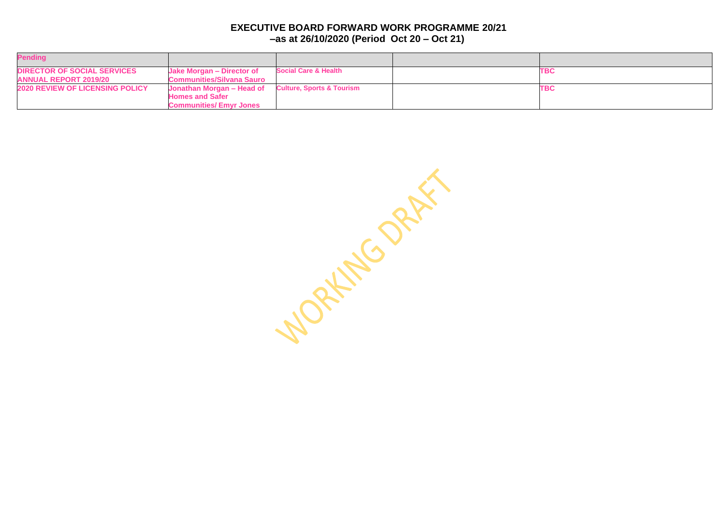| <b>Pending</b>                                                     |                                                               |                                      |            |
|--------------------------------------------------------------------|---------------------------------------------------------------|--------------------------------------|------------|
| <b>DIRECTOR OF SOCIAL SERVICES</b><br><b>ANNUAL REPORT 2019/20</b> | Jake Morgan - Director of<br><b>Communities/Silvana Sauro</b> | <b>Social Care &amp; Health</b>      | <b>TBC</b> |
| <b>2020 REVIEW OF LICENSING POLICY</b>                             | Jonathan Morgan – Head of<br><b>Homes and Safer</b>           | <b>Culture, Sports &amp; Tourism</b> | <b>TBC</b> |
|                                                                    | <b>Communities/Emvr Jones</b>                                 |                                      |            |

WORKING ORAL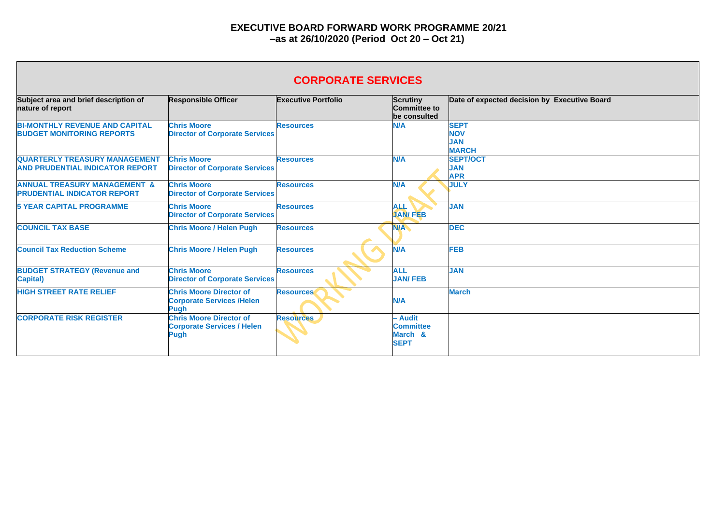# **CORPORATE SERVICES**

| Subject area and brief description of<br>nature of report                      | <b>Responsible Officer</b>                                                         | <b>Executive Portfolio</b> | Scrutiny<br><b>Committee to</b><br>be consulted       | Date of expected decision by Executive Board            |
|--------------------------------------------------------------------------------|------------------------------------------------------------------------------------|----------------------------|-------------------------------------------------------|---------------------------------------------------------|
| <b>BI-MONTHLY REVENUE AND CAPITAL</b><br><b>BUDGET MONITORING REPORTS</b>      | <b>Chris Moore</b><br><b>Director of Corporate Services</b>                        | <b>Resources</b>           | N/A                                                   | <b>SEPT</b><br><b>NOV</b><br><b>JAN</b><br><b>MARCH</b> |
| <b>QUARTERLY TREASURY MANAGEMENT</b><br><b>AND PRUDENTIAL INDICATOR REPORT</b> | <b>Chris Moore</b><br><b>Director of Corporate Services</b>                        | <b>Resources</b>           | N/A                                                   | <b>SEPT/OCT</b><br><b>JAN</b><br><b>APR</b>             |
| <b>ANNUAL TREASURY MANAGEMENT &amp;</b><br><b>PRUDENTIAL INDICATOR REPORT</b>  | <b>Chris Moore</b><br><b>Director of Corporate Services</b>                        | <b>Resources</b>           | N/A                                                   | <b>JULY</b>                                             |
| <b>5 YEAR CAPITAL PROGRAMME</b>                                                | <b>Chris Moore</b><br><b>Director of Corporate Services</b>                        | <b>Resources</b>           | <b>ALL</b><br><b>JAN/FEB</b>                          | <b>JAN</b>                                              |
| <b>COUNCIL TAX BASE</b>                                                        | <b>Chris Moore / Helen Pugh</b>                                                    | <b>Resources</b>           | <b>N/A</b>                                            | <b>DEC</b>                                              |
| <b>Council Tax Reduction Scheme</b>                                            | <b>Chris Moore / Helen Pugh</b>                                                    | <b>Resources</b>           | N/A                                                   | <b>FEB</b>                                              |
| <b>BUDGET STRATEGY (Revenue and</b><br><b>Capital</b> )                        | <b>Chris Moore</b><br><b>Director of Corporate Services</b>                        | <b>Resources</b>           | <b>ALL</b><br><b>JAN/FEB</b>                          | <b>JAN</b>                                              |
| <b>HIGH STREET RATE RELIEF</b>                                                 | <b>Chris Moore Director of</b><br><b>Corporate Services /Helen</b><br><b>Pugh</b>  | <b>Resources</b>           | N/A                                                   | <b>March</b>                                            |
| <b>CORPORATE RISK REGISTER</b>                                                 | <b>Chris Moore Director of</b><br><b>Corporate Services / Helen</b><br><b>Pugh</b> | <b>Resources</b>           | - Audit<br><b>Committee</b><br>March &<br><b>SEPT</b> |                                                         |

| <b>Executive Board</b> |  |
|------------------------|--|
|                        |  |
|                        |  |
|                        |  |
|                        |  |
|                        |  |
|                        |  |
|                        |  |
|                        |  |
|                        |  |
|                        |  |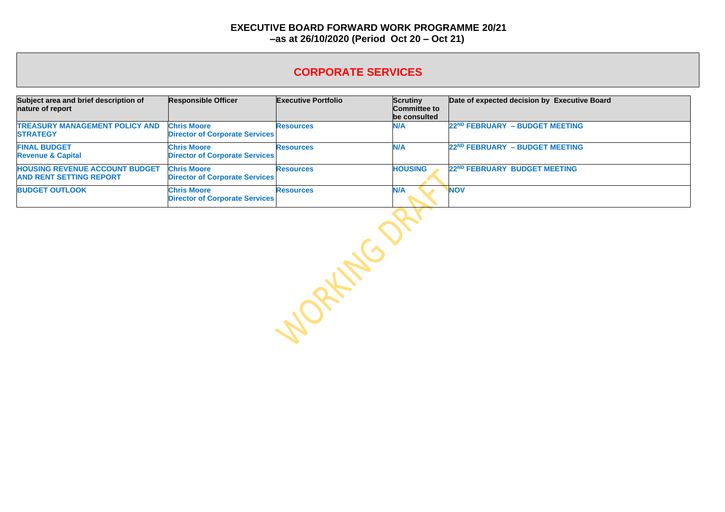## **CORPORATE SERVICES**

| Subject area and brief description of<br>nature of report               | <b>Responsible Officer</b>                                  | <b>Executive Portfolio</b> | Scrutiny<br><b>Committee to</b><br>be consulted | Date of expected decision by Executive Board |
|-------------------------------------------------------------------------|-------------------------------------------------------------|----------------------------|-------------------------------------------------|----------------------------------------------|
| <b>TREASURY MANAGEMENT POLICY AND</b><br><b>STRATEGY</b>                | <b>Chris Moore</b><br><b>Director of Corporate Services</b> | <b>Resources</b>           | N/A                                             | 22 <sup>ND</sup> FEBRUARY - BUDGET MEETING   |
| <b>FINAL BUDGET</b><br><b>Revenue &amp; Capital</b>                     | <b>Chris Moore</b><br><b>Director of Corporate Services</b> | <b>Resources</b>           | <b>N/A</b>                                      | 22 <sup>ND</sup> FEBRUARY - BUDGET MEETING   |
| <b>HOUSING REVENUE ACCOUNT BUDGET</b><br><b>AND RENT SETTING REPORT</b> | <b>Chris Moore</b><br><b>Director of Corporate Services</b> | <b>Resources</b>           | <b>HOUSING</b>                                  | 22ND FEBRUARY BUDGET MEETING                 |
| <b>BUDGET OUTLOOK</b>                                                   | <b>Chris Moore</b><br><b>Director of Corporate Services</b> | <b>Resources</b>           | N/A                                             | <b>NOV</b>                                   |

**Doctor September**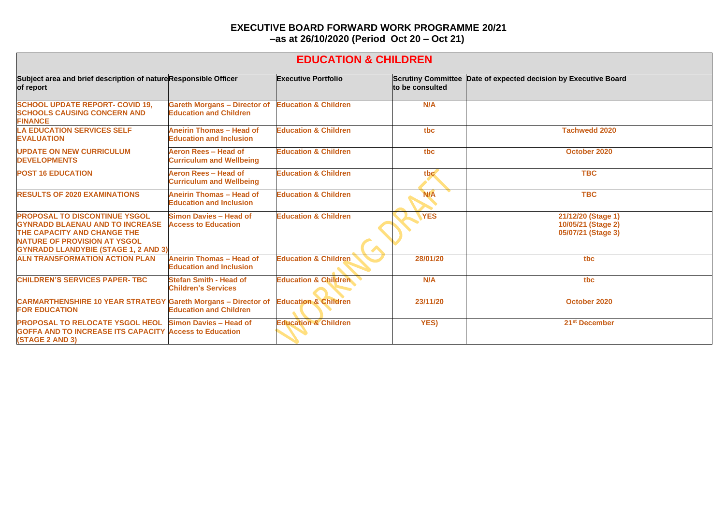## **EDUCATION & CHILDREN**

| Subject area and brief description of nature Responsible Officer<br>of report                                                                                                                       |                                                                      | <b>Executive Portfolio</b>      | <b>Scrutiny Committee</b><br>to be consulted | Date of expected decision by Executive Board                   |  |
|-----------------------------------------------------------------------------------------------------------------------------------------------------------------------------------------------------|----------------------------------------------------------------------|---------------------------------|----------------------------------------------|----------------------------------------------------------------|--|
| <b>SCHOOL UPDATE REPORT- COVID 19,</b><br><b>SCHOOLS CAUSING CONCERN AND</b><br><b>FINANCE</b>                                                                                                      | <b>Gareth Morgans - Director of</b><br><b>Education and Children</b> | <b>Education &amp; Children</b> | N/A                                          |                                                                |  |
| <b>LA EDUCATION SERVICES SELF</b><br><b>EVALUATION</b>                                                                                                                                              | <b>Aneirin Thomas - Head of</b><br><b>Education and Inclusion</b>    | <b>Education &amp; Children</b> | tbc                                          | <b>Tachwedd 2020</b>                                           |  |
| <b>UPDATE ON NEW CURRICULUM</b><br><b>DEVELOPMENTS</b>                                                                                                                                              | Aeron Rees - Head of<br><b>Curriculum and Wellbeing</b>              | <b>Education &amp; Children</b> | tbc                                          | October 2020                                                   |  |
| <b>POST 16 EDUCATION</b>                                                                                                                                                                            | Aeron Rees - Head of<br><b>Curriculum and Wellbeing</b>              | <b>Education &amp; Children</b> | tbc                                          | <b>TBC</b>                                                     |  |
| <b>RESULTS OF 2020 EXAMINATIONS</b>                                                                                                                                                                 | <b>Aneirin Thomas - Head of</b><br><b>Education and Inclusion</b>    | <b>Education &amp; Children</b> | <b>N/A</b>                                   | <b>TBC</b>                                                     |  |
| <b>PROPOSAL TO DISCONTINUE YSGOL</b><br><b>GYNRADD BLAENAU AND TO INCREASE</b><br>THE CAPACITY AND CHANGE THE<br><b>NATURE OF PROVISION AT YSGOL</b><br><b>GYNRADD LLANDYBIE (STAGE 1, 2 AND 3)</b> | <b>Simon Davies - Head of</b><br><b>Access to Education</b>          | <b>Education &amp; Children</b> | <b>YES</b>                                   | 21/12/20 (Stage 1)<br>10/05/21 (Stage 2)<br>05/07/21 (Stage 3) |  |
| <b>ALN TRANSFORMATION ACTION PLAN</b>                                                                                                                                                               | <b>Aneirin Thomas - Head of</b><br><b>Education and Inclusion</b>    | <b>Education &amp; Children</b> | 28/01/20                                     | tbc                                                            |  |
| <b>CHILDREN'S SERVICES PAPER-TBC</b>                                                                                                                                                                | <b>Stefan Smith - Head of</b><br><b>Children's Services</b>          | <b>Education &amp; Children</b> | N/A                                          | tbc                                                            |  |
| <b>CARMARTHENSHIRE 10 YEAR STRATEGY</b><br><b>FOR EDUCATION</b>                                                                                                                                     | <b>Gareth Morgans - Director of</b><br><b>Education and Children</b> | <b>Education &amp; Children</b> | 23/11/20                                     | October 2020                                                   |  |
| PROPOSAL TO RELOCATE YSGOL HEOL<br><b>GOFFA AND TO INCREASE ITS CAPACITY Access to Education</b><br><b>(STAGE 2 AND 3)</b>                                                                          | <b>Simon Davies - Head of</b>                                        | <b>Education &amp; Children</b> | <b>YES)</b>                                  | 21 <sup>st</sup> December                                      |  |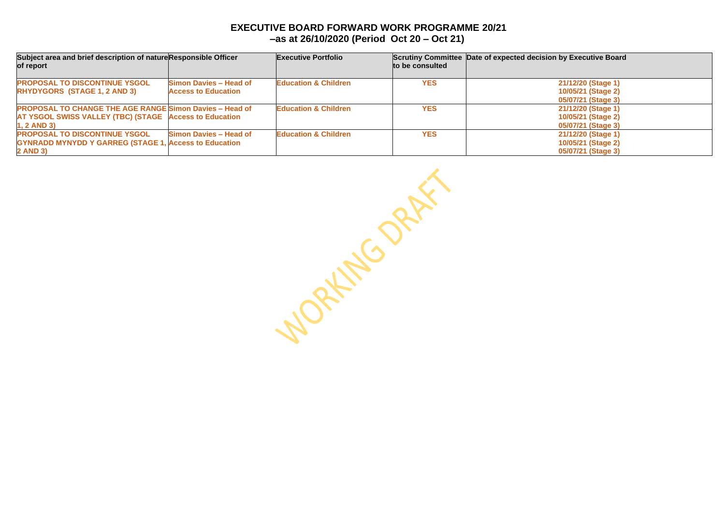| Subject area and brief description of natureResponsible Officer |                               | <b>Executive Portfolio</b>      |                 | Scrutiny Committee Date of expected decision by Executive Board |  |
|-----------------------------------------------------------------|-------------------------------|---------------------------------|-----------------|-----------------------------------------------------------------|--|
| of report                                                       |                               |                                 | to be consulted |                                                                 |  |
| <b>PROPOSAL TO DISCONTINUE YSGOL</b>                            | <b>Simon Davies - Head of</b> | <b>Education &amp; Children</b> | <b>YES</b>      | 21/12/20 (Stage 1)                                              |  |
| <b>RHYDYGORS (STAGE 1, 2 AND 3)</b>                             | <b>Access to Education</b>    |                                 |                 | 10/05/21 (Stage 2)                                              |  |
|                                                                 |                               |                                 |                 | 05/07/21 (Stage 3)                                              |  |
| <b>PROPOSAL TO CHANGE THE AGE RANGE Simon Davies - Head of</b>  |                               | <b>Education &amp; Children</b> | <b>YES</b>      | 21/12/20 (Stage 1)                                              |  |
| <b>AT YSGOL SWISS VALLEY (TBC) (STAGE Access to Education</b>   |                               |                                 |                 | 10/05/21 (Stage 2)                                              |  |
| $1, 2$ AND 3)                                                   |                               |                                 |                 | 05/07/21 (Stage 3)                                              |  |
| <b>PROPOSAL TO DISCONTINUE YSGOL</b>                            | <b>Simon Davies - Head of</b> | <b>Education &amp; Children</b> | <b>YES</b>      | 21/12/20 (Stage 1)                                              |  |
| <b>GYNRADD MYNYDD Y GARREG (STAGE 1, Access to Education</b>    |                               |                                 |                 | 10/05/21 (Stage 2)                                              |  |
| <b>2 AND 3)</b>                                                 |                               |                                 |                 | 05/07/21 (Stage 3)                                              |  |

Monthlo DRAFT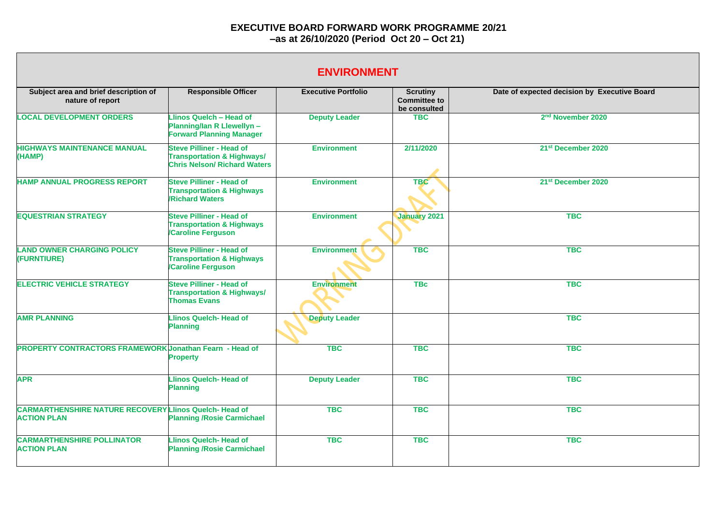| <b>ENVIRONMENT</b>                                                                  |                                                                                                                 |                            |                                                        |                                              |  |
|-------------------------------------------------------------------------------------|-----------------------------------------------------------------------------------------------------------------|----------------------------|--------------------------------------------------------|----------------------------------------------|--|
| Subject area and brief description of<br>nature of report                           | <b>Responsible Officer</b>                                                                                      | <b>Executive Portfolio</b> | <b>Scrutiny</b><br><b>Committee to</b><br>be consulted | Date of expected decision by Executive Board |  |
| <b>LOCAL DEVELOPMENT ORDERS</b>                                                     | Llinos Quelch - Head of<br><b>Planning/lan R Llewellyn -</b><br><b>Forward Planning Manager</b>                 | <b>Deputy Leader</b>       | <b>TBC</b>                                             | 2 <sup>nd</sup> November 2020                |  |
| <b>HIGHWAYS MAINTENANCE MANUAL</b><br>(HAMP)                                        | <b>Steve Pilliner - Head of</b><br><b>Transportation &amp; Highways/</b><br><b>Chris Nelson/ Richard Waters</b> | <b>Environment</b>         | 2/11/2020                                              | 21 <sup>st</sup> December 2020               |  |
| <b>HAMP ANNUAL PROGRESS REPORT</b>                                                  | <b>Steve Pilliner - Head of</b><br><b>Transportation &amp; Highways</b><br><b>Richard Waters</b>                | <b>Environment</b>         | <b>TBC</b>                                             | 21st December 2020                           |  |
| <b>EQUESTRIAN STRATEGY</b>                                                          | <b>Steve Pilliner - Head of</b><br><b>Transportation &amp; Highways</b><br><b>Caroline Ferguson</b>             | <b>Environment</b>         | <b>January 2021</b>                                    | <b>TBC</b>                                   |  |
| <b>LAND OWNER CHARGING POLICY</b><br>(FURNTIURE)                                    | <b>Steve Pilliner - Head of</b><br><b>Transportation &amp; Highways</b><br><b>Caroline Ferguson</b>             | <b>Environment</b>         | <b>TBC</b>                                             | <b>TBC</b>                                   |  |
| <b>ELECTRIC VEHICLE STRATEGY</b>                                                    | <b>Steve Pilliner - Head of</b><br><b>Transportation &amp; Highways/</b><br><b>Thomas Evans</b>                 | <b>Environment</b>         | <b>TBc</b>                                             | <b>TBC</b>                                   |  |
| <b>AMR PLANNING</b>                                                                 | Llinos Quelch- Head of<br><b>Planning</b>                                                                       | <b>Deputy Leader</b>       |                                                        | <b>TBC</b>                                   |  |
| <b>PROPERTY CONTRACTORS FRAMEWORK Jonathan Fearn - Head of</b>                      | <b>Property</b>                                                                                                 | <b>TBC</b>                 | <b>TBC</b>                                             | <b>TBC</b>                                   |  |
| <b>APR</b>                                                                          | <b>Llinos Quelch- Head of</b><br><b>Planning</b>                                                                | <b>Deputy Leader</b>       | <b>TBC</b>                                             | <b>TBC</b>                                   |  |
| <b>CARMARTHENSHIRE NATURE RECOVERY LIInos Quelch- Head of</b><br><b>ACTION PLAN</b> | <b>Planning /Rosie Carmichael</b>                                                                               | <b>TBC</b>                 | <b>TBC</b>                                             | <b>TBC</b>                                   |  |
| <b>CARMARTHENSHIRE POLLINATOR</b><br><b>ACTION PLAN</b>                             | <b>Llinos Quelch- Head of</b><br><b>Planning /Rosie Carmichael</b>                                              | <b>TBC</b>                 | <b>TBC</b>                                             | <b>TBC</b>                                   |  |